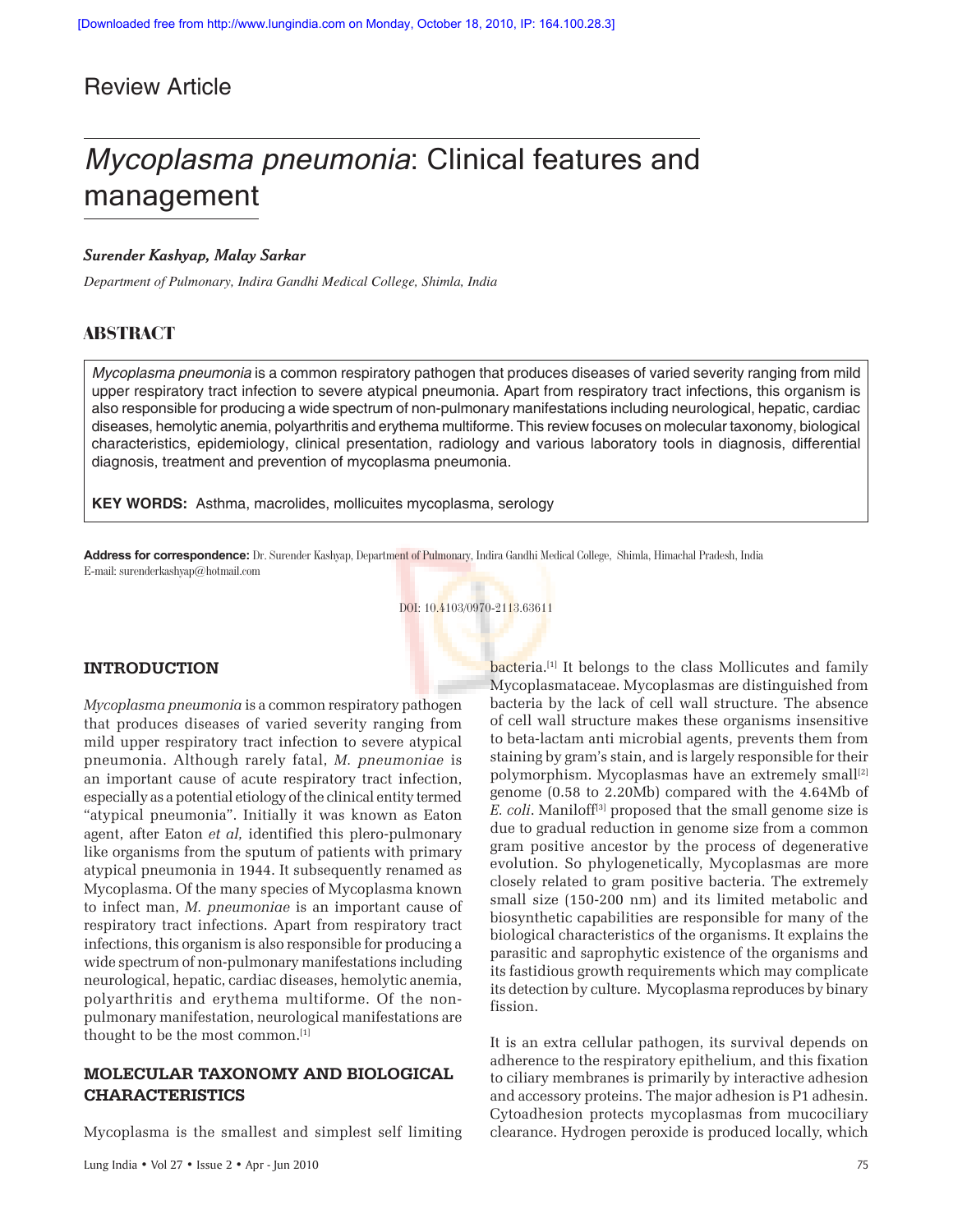## Review Article

# Mycoplasma pneumonia: Clinical features and management

## *Surender Kashyap, Malay Sarkar*

*Department of Pulmonary, Indira Gandhi Medical College, Shimla, India*

## **ABSTRACT**

*Mycoplasma pneumonia* is a common respiratory pathogen that produces diseases of varied severity ranging from mild upper respiratory tract infection to severe atypical pneumonia. Apart from respiratory tract infections, this organism is also responsible for producing a wide spectrum of non-pulmonary manifestations including neurological, hepatic, cardiac diseases, hemolytic anemia, polyarthritis and erythema multiforme. This review focuses on molecular taxonomy, biological characteristics, epidemiology, clinical presentation, radiology and various laboratory tools in diagnosis, differential diagnosis, treatment and prevention of mycoplasma pneumonia.

**KEY WORDS:** Asthma, macrolides, mollicuites mycoplasma, serology

**Address for correspondence:** Dr. Surender Kashyap, Department of Pulmonary, Indira Gandhi Medical College, Shimla, Himachal Pradesh, India E-mail: surenderkashyap@hotmail.com

## DOI: 10.4103/0970-2113.63611

## **INTRODUCTION**

*Mycoplasma pneumonia* is a common respiratory pathogen that produces diseases of varied severity ranging from mild upper respiratory tract infection to severe atypical pneumonia. Although rarely fatal, *M. pneumoniae* is an important cause of acute respiratory tract infection, especially as a potential etiology of the clinical entity termed "atypical pneumonia". Initially it was known as Eaton agent, after Eaton *et al,* identified this plero-pulmonary like organisms from the sputum of patients with primary atypical pneumonia in 1944. It subsequently renamed as Mycoplasma. Of the many species of Mycoplasma known to infect man, *M. pneumoniae* is an important cause of respiratory tract infections. Apart from respiratory tract infections, this organism is also responsible for producing a wide spectrum of non-pulmonary manifestations including neurological, hepatic, cardiac diseases, hemolytic anemia, polyarthritis and erythema multiforme. Of the nonpulmonary manifestation, neurological manifestations are thought to be the most common.[1]

## **MOLECULAR TAXONOMY AND BIOLOGICAL CHARACTERISTICS**

Mycoplasma is the smallest and simplest self limiting

bacteria.<sup>[1]</sup> It belongs to the class Mollicutes and family Mycoplasmataceae. Mycoplasmas are distinguished from bacteria by the lack of cell wall structure. The absence of cell wall structure makes these organisms insensitive to beta-lactam anti microbial agents, prevents them from staining by gram's stain, and is largely responsible for their polymorphism. Mycoplasmas have an extremely small<sup>[2]</sup> genome (0.58 to 2.20Mb) compared with the 4.64Mb of *E. coli.* Maniloff<sup>[3]</sup> proposed that the small genome size is due to gradual reduction in genome size from a common gram positive ancestor by the process of degenerative evolution. So phylogenetically, Mycoplasmas are more closely related to gram positive bacteria. The extremely small size (150-200 nm) and its limited metabolic and biosynthetic capabilities are responsible for many of the biological characteristics of the organisms. It explains the parasitic and saprophytic existence of the organisms and its fastidious growth requirements which may complicate its detection by culture. Mycoplasma reproduces by binary fission.

It is an extra cellular pathogen, its survival depends on adherence to the respiratory epithelium, and this fixation to ciliary membranes is primarily by interactive adhesion and accessory proteins. The major adhesion is P1 adhesin. Cytoadhesion protects mycoplasmas from mucociliary clearance. Hydrogen peroxide is produced locally, which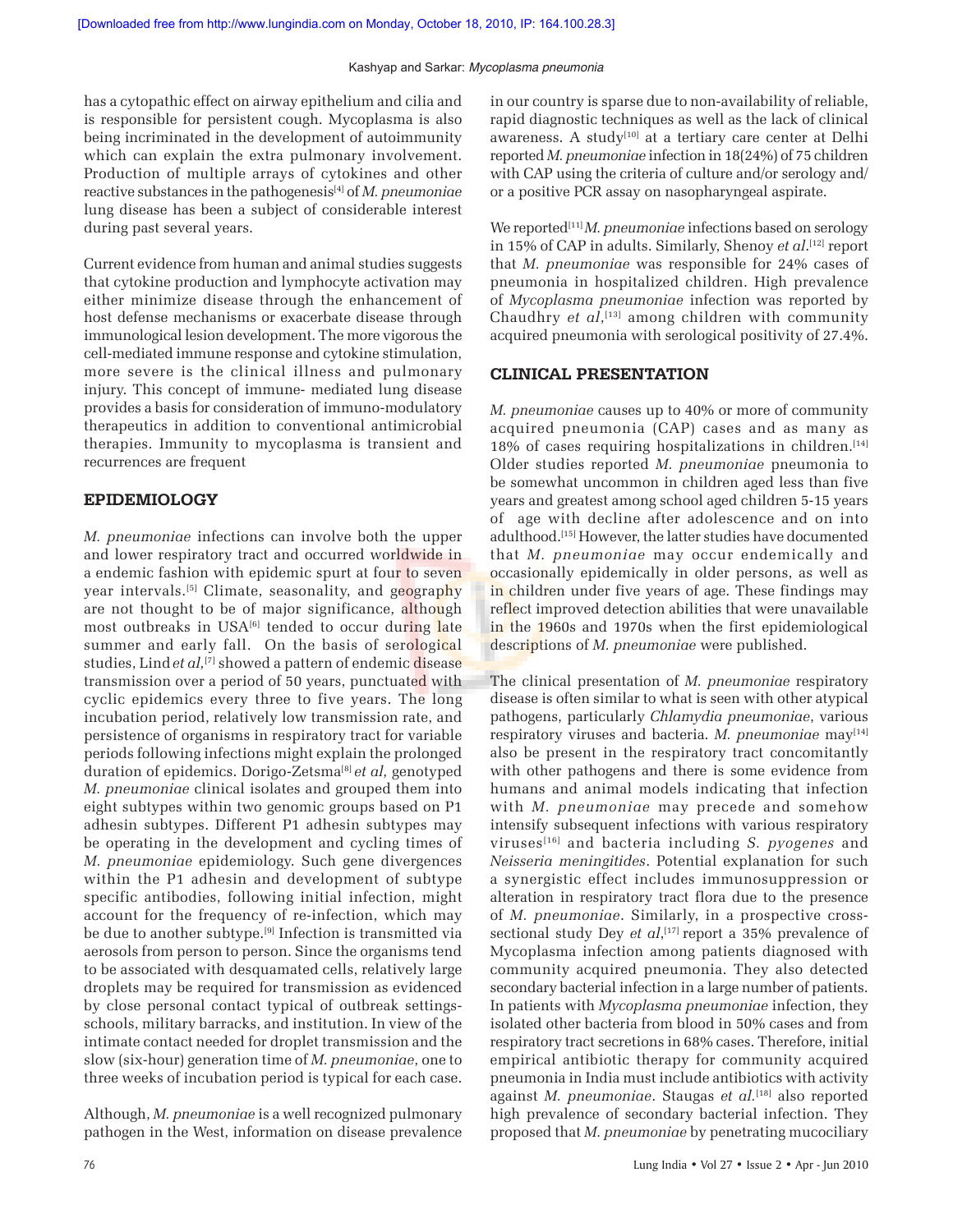has a cytopathic effect on airway epithelium and cilia and is responsible for persistent cough. Mycoplasma is also being incriminated in the development of autoimmunity which can explain the extra pulmonary involvement. Production of multiple arrays of cytokines and other reactive substances in the pathogenesis[4] of *M. pneumoniae* lung disease has been a subject of considerable interest during past several years.

Current evidence from human and animal studies suggests that cytokine production and lymphocyte activation may either minimize disease through the enhancement of host defense mechanisms or exacerbate disease through immunological lesion development. The more vigorous the cell-mediated immune response and cytokine stimulation, more severe is the clinical illness and pulmonary injury. This concept of immune- mediated lung disease provides a basis for consideration of immuno-modulatory therapeutics in addition to conventional antimicrobial therapies. Immunity to mycoplasma is transient and recurrences are frequent

#### **EPIDEMIOLOGY**

*M. pneumoniae* infections can involve both the upper and lower respiratory tract and occurred worldwide in a endemic fashion with epidemic spurt at four to seven year intervals.<sup>[5]</sup> Climate, seasonality, and geography are not thought to be of major significance, although most outbreaks in USA<sup>[6]</sup> tended to occur during late summer and early fall. On the basis of serological studies, Lind et al,<sup>[7]</sup> showed a pattern of endemic disease transmission over a period of 50 years, punctuated with cyclic epidemics every three to five years. The long incubation period, relatively low transmission rate, and persistence of organisms in respiratory tract for variable periods following infections might explain the prolonged duration of epidemics. Dorigo-Zetsma[8] *et al,* genotyped *M. pneumoniae* clinical isolates and grouped them into eight subtypes within two genomic groups based on P1 adhesin subtypes. Different P1 adhesin subtypes may be operating in the development and cycling times of *M. pneumoniae* epidemiology. Such gene divergences within the P1 adhesin and development of subtype specific antibodies, following initial infection, might account for the frequency of re-infection, which may be due to another subtype.<sup>[9]</sup> Infection is transmitted via aerosols from person to person. Since the organisms tend to be associated with desquamated cells, relatively large droplets may be required for transmission as evidenced by close personal contact typical of outbreak settingsschools, military barracks, and institution. In view of the intimate contact needed for droplet transmission and the slow (six-hour) generation time of *M. pneumoniae*, one to three weeks of incubation period is typical for each case.

Although, *M. pneumoniae* is a well recognized pulmonary pathogen in the West, information on disease prevalence

in our country is sparse due to non-availability of reliable, rapid diagnostic techniques as well as the lack of clinical awareness. A study<sup>[10]</sup> at a tertiary care center at Delhi reported *M. pneumoniae* infection in 18(24%) of 75 children with CAP using the criteria of culture and/or serology and/ or a positive PCR assay on nasopharyngeal aspirate.

We reported<sup>[11]</sup> *M. pneumoniae* infections based on serology in 15% of CAP in adults. Similarly, Shenoy *et al*. [12] report that *M. pneumoniae* was responsible for 24% cases of pneumonia in hospitalized children. High prevalence of *Mycoplasma pneumoniae* infection was reported by Chaudhry *et al*, [13] among children with community acquired pneumonia with serological positivity of 27.4%.

#### **CLINICAL PRESENTATION**

*M. pneumoniae* causes up to 40% or more of community acquired pneumonia (CAP) cases and as many as  $18\%$  of cases requiring hospitalizations in children.<sup>[14]</sup> Older studies reported *M. pneumoniae* pneumonia to be somewhat uncommon in children aged less than five years and greatest among school aged children 5-15 years of age with decline after adolescence and on into adulthood.[15] However, the latter studies have documented that *M. pneumoniae* may occur endemically and occasionally epidemically in older persons, as well as in children under five years of age. These findings may reflect improved detection abilities that were unavailable in the 1960s and 1970s when the first epidemiological descriptions of *M. pneumoniae* were published.

The clinical presentation of *M. pneumoniae* respiratory disease is often similar to what is seen with other atypical pathogens, particularly *Chlamydia pneumoniae*, various respiratory viruses and bacteria. *M. pneumoniae* may<sup>[14]</sup> also be present in the respiratory tract concomitantly with other pathogens and there is some evidence from humans and animal models indicating that infection with *M. pneumoniae* may precede and somehow intensify subsequent infections with various respiratory viruses[16] and bacteria including *S. pyogenes* and *Neisseria meningitides*. Potential explanation for such a synergistic effect includes immunosuppression or alteration in respiratory tract flora due to the presence of *M. pneumoniae*. Similarly, in a prospective crosssectional study Dey *et al*,<sup>[17]</sup> report a 35% prevalence of Mycoplasma infection among patients diagnosed with community acquired pneumonia. They also detected secondary bacterial infection in a large number of patients. In patients with *Mycoplasma pneumoniae* infection, they isolated other bacteria from blood in 50% cases and from respiratory tract secretions in 68% cases. Therefore, initial empirical antibiotic therapy for community acquired pneumonia in India must include antibiotics with activity against *M. pneumoniae*. Staugas *et al.*[18] also reported high prevalence of secondary bacterial infection. They proposed that *M. pneumoniae* by penetrating mucociliary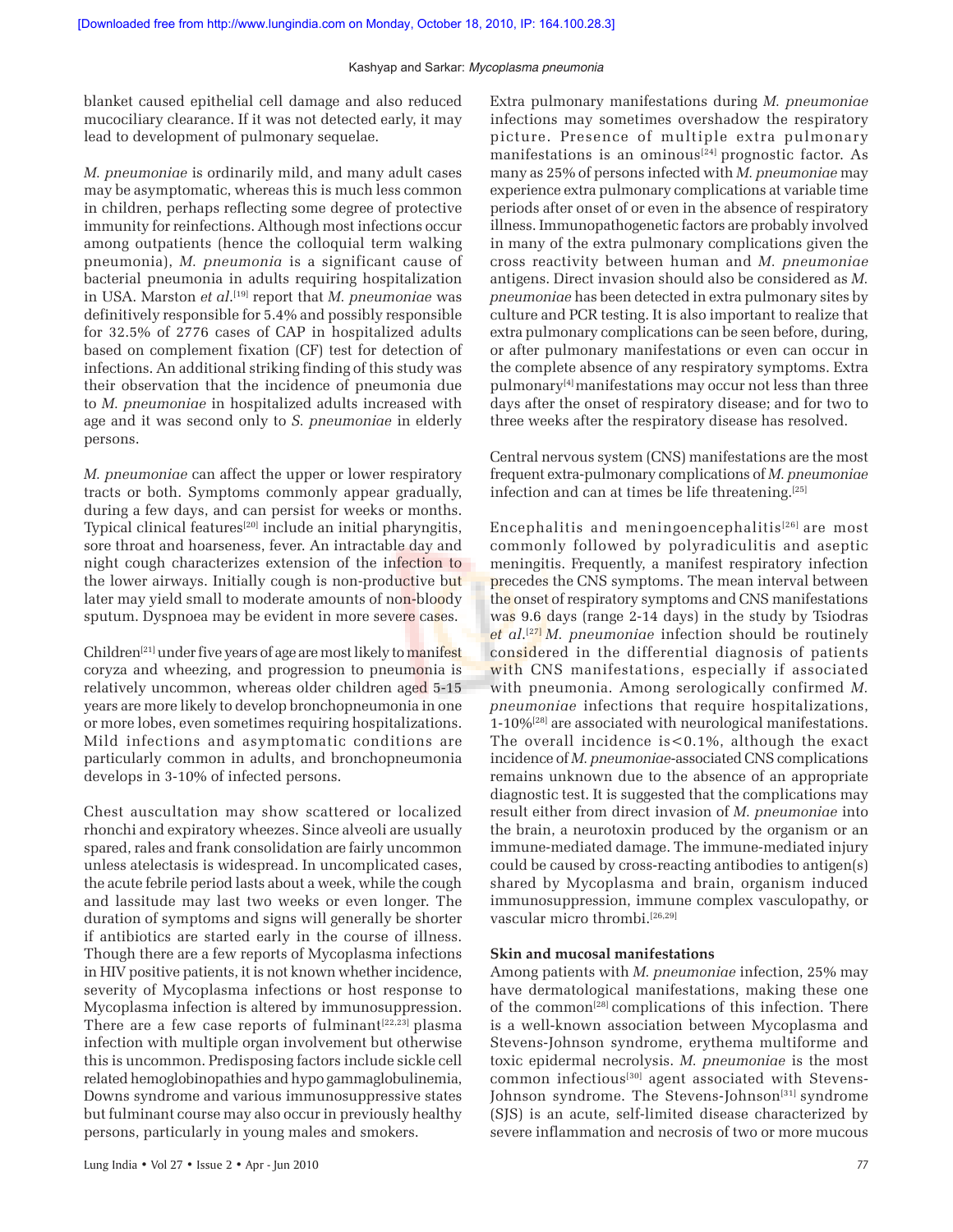blanket caused epithelial cell damage and also reduced mucociliary clearance. If it was not detected early, it may lead to development of pulmonary sequelae.

*M. pneumoniae* is ordinarily mild, and many adult cases may be asymptomatic, whereas this is much less common in children, perhaps reflecting some degree of protective immunity for reinfections. Although most infections occur among outpatients (hence the colloquial term walking pneumonia), *M. pneumonia* is a significant cause of bacterial pneumonia in adults requiring hospitalization in USA. Marston *et al*. [19] report that *M. pneumoniae* was definitively responsible for 5.4% and possibly responsible for 32.5% of 2776 cases of CAP in hospitalized adults based on complement fixation (CF) test for detection of infections. An additional striking finding of this study was their observation that the incidence of pneumonia due to *M. pneumoniae* in hospitalized adults increased with age and it was second only to *S. pneumoniae* in elderly persons.

*M. pneumoniae* can affect the upper or lower respiratory tracts or both. Symptoms commonly appear gradually, during a few days, and can persist for weeks or months. Typical clinical features<sup>[20]</sup> include an initial pharyngitis, sore throat and hoarseness, fever. An intractable day and night cough characterizes extension of the infection to the lower airways. Initially cough is non-productive but later may yield small to moderate amounts of non-bloody sputum. Dyspnoea may be evident in more severe cases.

 $Children<sup>[21]</sup> under five years of age are most likely to manifest$ coryza and wheezing, and progression to pneumonia is relatively uncommon, whereas older children aged 5-15 years are more likely to develop bronchopneumonia in one or more lobes, even sometimes requiring hospitalizations. Mild infections and asymptomatic conditions are particularly common in adults, and bronchopneumonia develops in 3-10% of infected persons.

Chest auscultation may show scattered or localized rhonchi and expiratory wheezes. Since alveoli are usually spared, rales and frank consolidation are fairly uncommon unless atelectasis is widespread. In uncomplicated cases, the acute febrile period lasts about a week, while the cough and lassitude may last two weeks or even longer. The duration of symptoms and signs will generally be shorter if antibiotics are started early in the course of illness. Though there are a few reports of Mycoplasma infections in HIV positive patients, it is not known whether incidence, severity of Mycoplasma infections or host response to Mycoplasma infection is altered by immunosuppression. There are a few case reports of fulminant $[22,23]$  plasma infection with multiple organ involvement but otherwise this is uncommon. Predisposing factors include sickle cell related hemoglobinopathies and hypo gammaglobulinemia, Downs syndrome and various immunosuppressive states but fulminant course may also occur in previously healthy persons, particularly in young males and smokers.

Extra pulmonary manifestations during *M. pneumoniae* infections may sometimes overshadow the respiratory picture. Presence of multiple extra pulmonary manifestations is an ominous<sup>[24]</sup> prognostic factor. As many as 25% of persons infected with *M. pneumoniae* may experience extra pulmonary complications at variable time periods after onset of or even in the absence of respiratory illness. Immunopathogenetic factors are probably involved in many of the extra pulmonary complications given the cross reactivity between human and *M. pneumoniae* antigens. Direct invasion should also be considered as *M. pneumoniae* has been detected in extra pulmonary sites by culture and PCR testing. It is also important to realize that extra pulmonary complications can be seen before, during, or after pulmonary manifestations or even can occur in the complete absence of any respiratory symptoms. Extra pulmonary[4] manifestations may occur not less than three days after the onset of respiratory disease; and for two to three weeks after the respiratory disease has resolved.

Central nervous system (CNS) manifestations are the most frequent extra-pulmonary complications of *M. pneumoniae* infection and can at times be life threatening.[25]

Encephalitis and meningoencephalitis<sup>[26]</sup> are most commonly followed by polyradiculitis and aseptic meningitis. Frequently, a manifest respiratory infection precedes the CNS symptoms. The mean interval between the onset of respiratory symptoms and CNS manifestations was 9.6 days (range 2-14 days) in the study by Tsiodras *et al*. [27] *M. pneumoniae* infection should be routinely considered in the differential diagnosis of patients with CNS manifestations, especially if associated with pneumonia. Among serologically confirmed *M. pneumoniae* infections that require hospitalizations, 1-10%[28] are associated with neurological manifestations. The overall incidence is<0.1%, although the exact incidence of *M. pneumoniae*-associated CNS complications remains unknown due to the absence of an appropriate diagnostic test. It is suggested that the complications may result either from direct invasion of *M. pneumoniae* into the brain, a neurotoxin produced by the organism or an immune-mediated damage. The immune-mediated injury could be caused by cross-reacting antibodies to antigen(s) shared by Mycoplasma and brain, organism induced immunosuppression, immune complex vasculopathy, or vascular micro thrombi.[26,29]

#### **Skin and mucosal manifestations**

Among patients with *M. pneumoniae* infection, 25% may have dermatological manifestations, making these one of the common<sup>[28]</sup> complications of this infection. There is a well-known association between Mycoplasma and Stevens-Johnson syndrome, erythema multiforme and toxic epidermal necrolysis. *M. pneumoniae* is the most common infectious<sup>[30]</sup> agent associated with Stevens-Johnson syndrome. The Stevens-Johnson<sup>[31]</sup> syndrome (SJS) is an acute, self-limited disease characterized by severe inflammation and necrosis of two or more mucous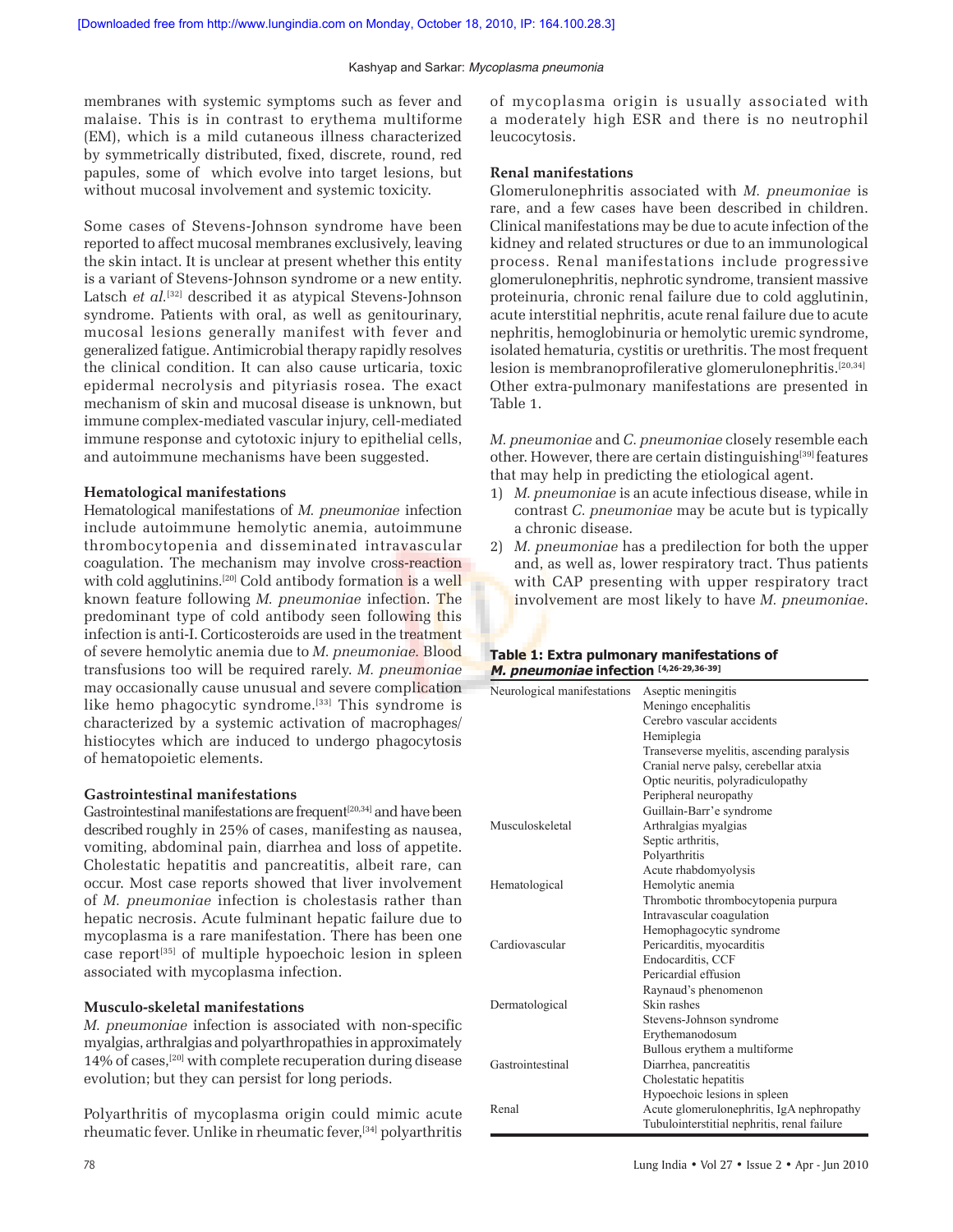membranes with systemic symptoms such as fever and malaise. This is in contrast to erythema multiforme (EM), which is a mild cutaneous illness characterized by symmetrically distributed, fixed, discrete, round, red papules, some of which evolve into target lesions, but without mucosal involvement and systemic toxicity.

Some cases of Stevens-Johnson syndrome have been reported to affect mucosal membranes exclusively, leaving the skin intact. It is unclear at present whether this entity is a variant of Stevens-Johnson syndrome or a new entity. Latsch et al.<sup>[32]</sup> described it as atypical Stevens-Johnson syndrome. Patients with oral, as well as genitourinary, mucosal lesions generally manifest with fever and generalized fatigue. Antimicrobial therapy rapidly resolves the clinical condition. It can also cause urticaria, toxic epidermal necrolysis and pityriasis rosea. The exact mechanism of skin and mucosal disease is unknown, but immune complex-mediated vascular injury, cell-mediated immune response and cytotoxic injury to epithelial cells, and autoimmune mechanisms have been suggested.

#### **Hematological manifestations**

Hematological manifestations of *M. pneumoniae* infection include autoimmune hemolytic anemia, autoimmune thrombocytopenia and disseminated intravascular coagulation. The mechanism may involve cross-reaction with cold agglutinins.<sup>[20]</sup> Cold antibody formation is a well known feature following *M. pneumoniae* infection. The predominant type of cold antibody seen following this infection is anti-I. Corticosteroids are used in the treatment of severe hemolytic anemia due to *M. pneumoniae.* Blood transfusions too will be required rarely. *M. pneumoniae* may occasionally cause unusual and severe complication like hemo phagocytic syndrome.<sup>[33]</sup> This syndrome is characterized by a systemic activation of macrophages/ histiocytes which are induced to undergo phagocytosis of hematopoietic elements.

#### **Gastrointestinal manifestations**

Gastrointestinal manifestations are frequent<sup>[20,34]</sup> and have been described roughly in 25% of cases, manifesting as nausea, vomiting, abdominal pain, diarrhea and loss of appetite. Cholestatic hepatitis and pancreatitis, albeit rare, can occur. Most case reports showed that liver involvement of *M. pneumoniae* infection is cholestasis rather than hepatic necrosis. Acute fulminant hepatic failure due to mycoplasma is a rare manifestation. There has been one case report[35] of multiple hypoechoic lesion in spleen associated with mycoplasma infection.

#### **Musculo-skeletal manifestations**

*M. pneumoniae* infection is associated with non-specific myalgias, arthralgias and polyarthropathies in approximately 14% of cases,[20] with complete recuperation during disease evolution; but they can persist for long periods.

Polyarthritis of mycoplasma origin could mimic acute rheumatic fever. Unlike in rheumatic fever,[34] polyarthritis of mycoplasma origin is usually associated with a moderately high ESR and there is no neutrophil leucocytosis.

#### **Renal manifestations**

Glomerulonephritis associated with *M. pneumoniae* is rare, and a few cases have been described in children. Clinical manifestations may be due to acute infection of the kidney and related structures or due to an immunological process. Renal manifestations include progressive glomerulonephritis, nephrotic syndrome, transient massive proteinuria, chronic renal failure due to cold agglutinin, acute interstitial nephritis, acute renal failure due to acute nephritis, hemoglobinuria or hemolytic uremic syndrome, isolated hematuria, cystitis or urethritis. The most frequent lesion is membranoprofilerative glomerulonephritis.[20,34] Other extra-pulmonary manifestations are presented in Table 1.

*M. pneumoniae* and *C. pneumoniae* closely resemble each other. However, there are certain distinguishing[39] features that may help in predicting the etiological agent.

- 1) *M. pneumoniae* is an acute infectious disease, while in contrast *C. pneumoniae* may be acute but is typically a chronic disease.
- 2) *M. pneumoniae* has a predilection for both the upper and, as well as, lower respiratory tract. Thus patients with CAP presenting with upper respiratory tract involvement are most likely to have *M. pneumoniae*.

#### **Table 1: Extra pulmonary manifestations of M. pneumoniae infection [4,26-29,36-39]**

| Neurological manifestations | Aseptic meningitis                          |
|-----------------------------|---------------------------------------------|
|                             | Meningo encephalitis                        |
|                             | Cerebro vascular accidents                  |
|                             | Hemiplegia                                  |
|                             | Transeverse myelitis, ascending paralysis   |
|                             | Cranial nerve palsy, cerebellar atxia       |
|                             | Optic neuritis, polyradiculopathy           |
|                             | Peripheral neuropathy                       |
|                             | Guillain-Barr'e syndrome                    |
| Musculoskeletal             | Arthralgias myalgias                        |
|                             | Septic arthritis,                           |
|                             | Polyarthritis                               |
|                             | Acute rhabdomyolysis                        |
| Hematological               | Hemolytic anemia                            |
|                             | Thrombotic thrombocytopenia purpura         |
|                             | Intravascular coagulation                   |
|                             | Hemophagocytic syndrome                     |
| Cardiovascular              | Pericarditis, myocarditis                   |
|                             | Endocarditis, CCF                           |
|                             | Pericardial effusion                        |
|                             | Raynaud's phenomenon                        |
| Dermatological              | Skin rashes                                 |
|                             | Stevens-Johnson syndrome                    |
|                             | Erythemanodosum                             |
|                             | Bullous erythem a multiforme                |
| Gastrointestinal            | Diarrhea, pancreatitis                      |
|                             | Cholestatic hepatitis                       |
|                             | Hypoechoic lesions in spleen                |
| Renal                       | Acute glomerulonephritis, IgA nephropathy   |
|                             | Tubulointerstitial nephritis, renal failure |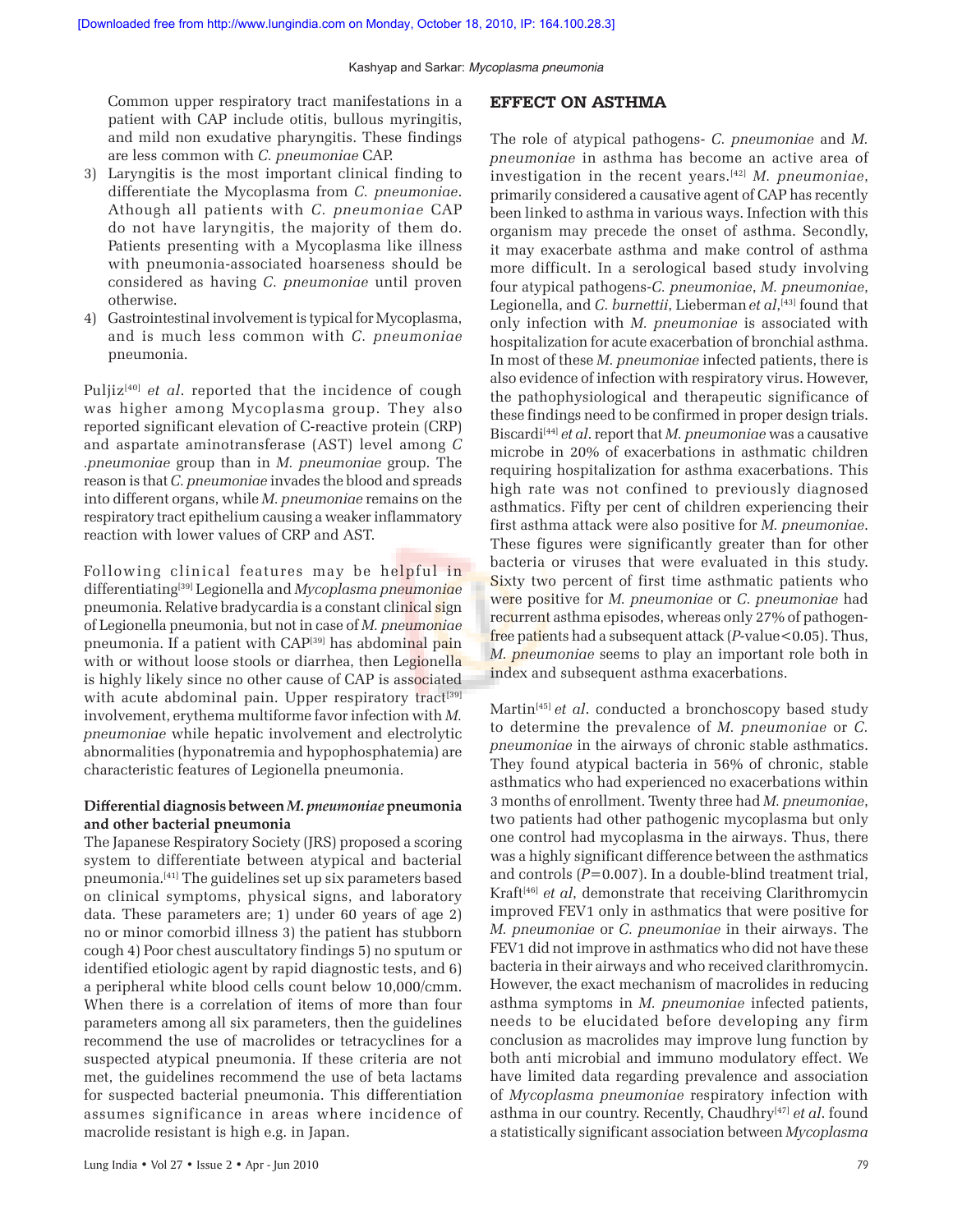Common upper respiratory tract manifestations in a patient with CAP include otitis, bullous myringitis, and mild non exudative pharyngitis. These findings are less common with *C. pneumoniae* CAP.

- 3) Laryngitis is the most important clinical finding to differentiate the Mycoplasma from *C. pneumoniae*. Athough all patients with *C. pneumoniae* CAP do not have laryngitis, the majority of them do. Patients presenting with a Mycoplasma like illness with pneumonia-associated hoarseness should be considered as having *C. pneumoniae* until proven otherwise.
- 4) Gastrointestinal involvement is typical for Mycoplasma, and is much less common with *C. pneumoniae* pneumonia.

Puljiz<sup>[40]</sup> *et al.* reported that the incidence of cough was higher among Mycoplasma group. They also reported significant elevation of C-reactive protein (CRP) and aspartate aminotransferase (AST) level among *C .pneumoniae* group than in *M. pneumoniae* group. The reason is that *C. pneumoniae* invades the blood and spreads into different organs, while *M. pneumoniae* remains on the respiratory tract epithelium causing a weaker inflammatory reaction with lower values of CRP and AST.

Following clinical features may be helpful in differentiating[39] Legionella and *Mycoplasma pneumoniae* pneumonia. Relative bradycardia is a constant clinical sign of Legionella pneumonia, but not in case of *M. pneumoniae* pneumonia. If a patient with CAP<sup>[39]</sup> has abdominal pain with or without loose stools or diarrhea, then Legionella is highly likely since no other cause of CAP is associated with acute abdominal pain. Upper respiratory tract<sup>[39]</sup> involvement, erythema multiforme favor infection with *M. pneumoniae* while hepatic involvement and electrolytic abnormalities (hyponatremia and hypophosphatemia) are characteristic features of Legionella pneumonia.

## **Differential diagnosis between** *M. pneumoniae* **pneumonia and other bacterial pneumonia**

The Japanese Respiratory Society (JRS) proposed a scoring system to differentiate between atypical and bacterial pneumonia.[41] The guidelines set up six parameters based on clinical symptoms, physical signs, and laboratory data. These parameters are; 1) under 60 years of age 2) no or minor comorbid illness 3) the patient has stubborn cough 4) Poor chest auscultatory findings 5) no sputum or identified etiologic agent by rapid diagnostic tests, and 6) a peripheral white blood cells count below 10,000/cmm. When there is a correlation of items of more than four parameters among all six parameters, then the guidelines recommend the use of macrolides or tetracyclines for a suspected atypical pneumonia. If these criteria are not met, the guidelines recommend the use of beta lactams for suspected bacterial pneumonia. This differentiation assumes significance in areas where incidence of macrolide resistant is high e.g. in Japan.

## **EFFECT ON ASTHMA**

The role of atypical pathogens- *C. pneumoniae* and *M. pneumoniae* in asthma has become an active area of investigation in the recent years.[42] *M. pneumoniae*, primarily considered a causative agent of CAP has recently been linked to asthma in various ways. Infection with this organism may precede the onset of asthma. Secondly, it may exacerbate asthma and make control of asthma more difficult. In a serological based study involving four atypical pathogens-*C. pneumoniae*, *M. pneumoniae*, Legionella, and *C. burnettii*, Lieberman*et al*, [43] found that only infection with *M. pneumoniae* is associated with hospitalization for acute exacerbation of bronchial asthma. In most of these *M. pneumoniae* infected patients, there is also evidence of infection with respiratory virus. However, the pathophysiological and therapeutic significance of these findings need to be confirmed in proper design trials. Biscardi<sup>[44]</sup> *et al.* report that *M. pneumoniae* was a causative microbe in 20% of exacerbations in asthmatic children requiring hospitalization for asthma exacerbations. This high rate was not confined to previously diagnosed asthmatics. Fifty per cent of children experiencing their first asthma attack were also positive for *M. pneumoniae*. These figures were significantly greater than for other bacteria or viruses that were evaluated in this study. Sixty two percent of first time asthmatic patients who were positive for *M. pneumoniae* or *C. pneumoniae* had recurrent asthma episodes, whereas only 27% of pathogenfree patients had a subsequent attack (*P*-value<0.05). Thus, *M. pneumoniae* seems to play an important role both in index and subsequent asthma exacerbations.

Martin<sup>[45]</sup> *et al.* conducted a bronchoscopy based study to determine the prevalence of *M. pneumoniae* or *C. pneumoniae* in the airways of chronic stable asthmatics. They found atypical bacteria in 56% of chronic, stable asthmatics who had experienced no exacerbations within 3 months of enrollment. Twenty three had *M. pneumoniae*, two patients had other pathogenic mycoplasma but only one control had mycoplasma in the airways. Thus, there was a highly significant difference between the asthmatics and controls (*P*=0.007). In a double-blind treatment trial, Kraft<sup>[46]</sup> *et al*, demonstrate that receiving Clarithromycin improved FEV1 only in asthmatics that were positive for *M. pneumoniae* or *C. pneumoniae* in their airways. The FEV1 did not improve in asthmatics who did not have these bacteria in their airways and who received clarithromycin. However, the exact mechanism of macrolides in reducing asthma symptoms in *M. pneumoniae* infected patients, needs to be elucidated before developing any firm conclusion as macrolides may improve lung function by both anti microbial and immuno modulatory effect. We have limited data regarding prevalence and association of *Mycoplasma pneumoniae* respiratory infection with asthma in our country. Recently, Chaudhry[47] *et al*. found a statistically significant association between *Mycoplasma*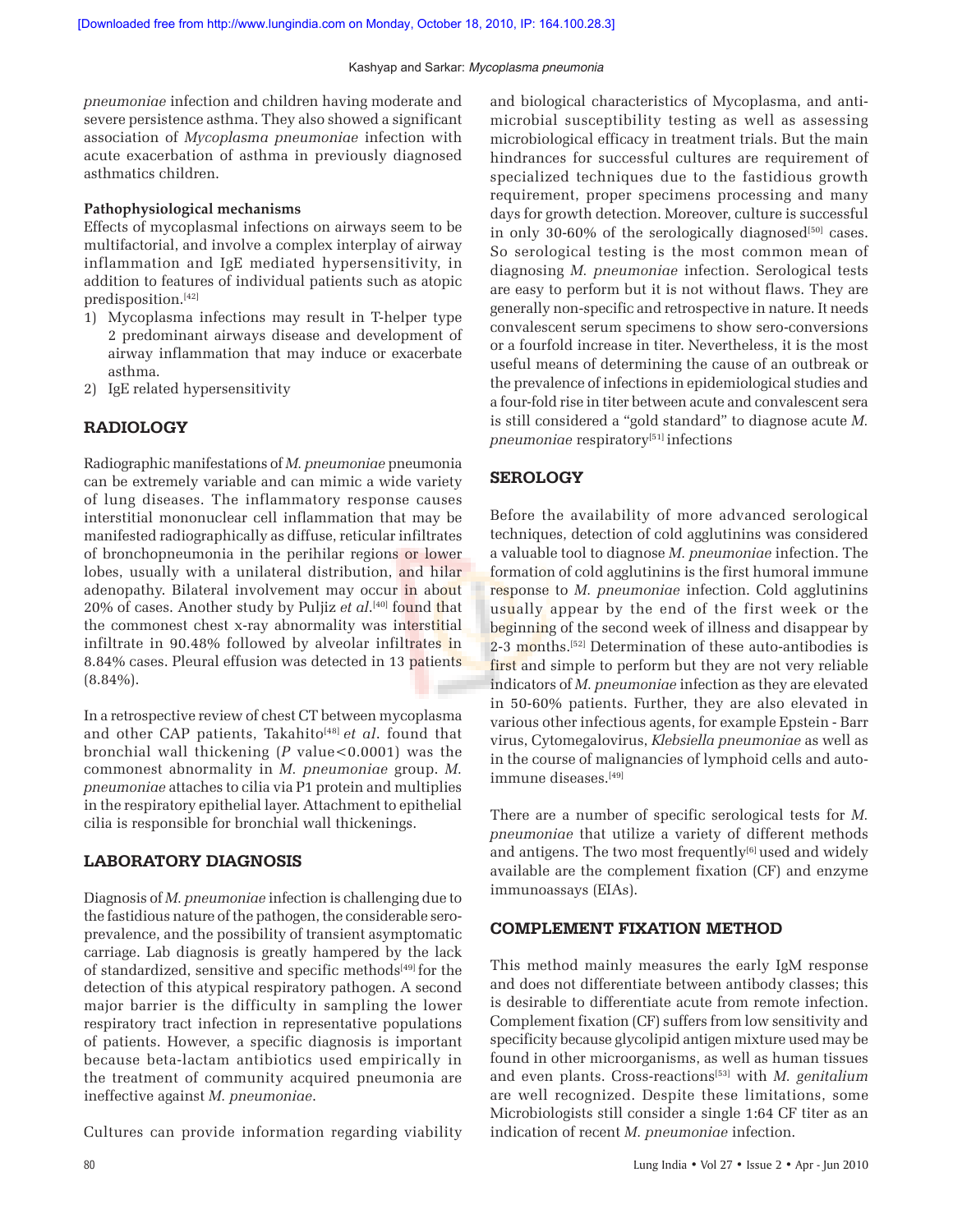*pneumoniae* infection and children having moderate and severe persistence asthma. They also showed a significant association of *Mycoplasma pneumoniae* infection with acute exacerbation of asthma in previously diagnosed asthmatics children.

## **Pathophysiological mechanisms**

Effects of mycoplasmal infections on airways seem to be multifactorial, and involve a complex interplay of airway inflammation and IgE mediated hypersensitivity, in addition to features of individual patients such as atopic predisposition.[42]

- 1) Mycoplasma infections may result in T-helper type 2 predominant airways disease and development of airway inflammation that may induce or exacerbate asthma.
- 2) IgE related hypersensitivity

## **RADIOLOGY**

Radiographic manifestations of *M. pneumoniae* pneumonia can be extremely variable and can mimic a wide variety of lung diseases. The inflammatory response causes interstitial mononuclear cell inflammation that may be manifested radiographically as diffuse, reticular infiltrates of bronchopneumonia in the perihilar regions or lower lobes, usually with a unilateral distribution, and hilar adenopathy. Bilateral involvement may occur in about 20% of cases. Another study by Puljiz *et al*. [40] found that the commonest chest x-ray abnormality was interstitial infiltrate in 90.48% followed by alveolar infiltrates in 8.84% cases. Pleural effusion was detected in 13 patients (8.84%).

In a retrospective review of chest CT between mycoplasma and other CAP patients, Takahito<sup>[48]</sup> et al. found that bronchial wall thickening (*P* value<0.0001) was the commonest abnormality in *M. pneumoniae* group. *M. pneumoniae* attaches to cilia via P1 protein and multiplies in the respiratory epithelial layer. Attachment to epithelial cilia is responsible for bronchial wall thickenings.

## **LABORATORY DIAGNOSIS**

Diagnosis of *M. pneumoniae* infection is challenging due to the fastidious nature of the pathogen, the considerable seroprevalence, and the possibility of transient asymptomatic carriage. Lab diagnosis is greatly hampered by the lack of standardized, sensitive and specific methods<sup>[49]</sup> for the detection of this atypical respiratory pathogen. A second major barrier is the difficulty in sampling the lower respiratory tract infection in representative populations of patients. However, a specific diagnosis is important because beta-lactam antibiotics used empirically in the treatment of community acquired pneumonia are ineffective against *M. pneumoniae*.

Cultures can provide information regarding viability

and biological characteristics of Mycoplasma, and antimicrobial susceptibility testing as well as assessing microbiological efficacy in treatment trials. But the main hindrances for successful cultures are requirement of specialized techniques due to the fastidious growth requirement, proper specimens processing and many days for growth detection. Moreover, culture is successful in only 30-60% of the serologically diagnosed<sup>[50]</sup> cases. So serological testing is the most common mean of diagnosing *M. pneumoniae* infection. Serological tests are easy to perform but it is not without flaws. They are generally non-specific and retrospective in nature. It needs convalescent serum specimens to show sero-conversions or a fourfold increase in titer. Nevertheless, it is the most useful means of determining the cause of an outbreak or the prevalence of infections in epidemiological studies and a four-fold rise in titer between acute and convalescent sera is still considered a "gold standard" to diagnose acute *M. pneumoniae* respiratory<sup>[51]</sup> infections

## **SEROLOGY**

Before the availability of more advanced serological techniques, detection of cold agglutinins was considered a valuable tool to diagnose *M. pneumoniae* infection. The formation of cold agglutinins is the first humoral immune response to *M. pneumoniae* infection. Cold agglutinins usually appear by the end of the first week or the beginning of the second week of illness and disappear by 2-3 months.<sup>[52]</sup> Determination of these auto-antibodies is first and simple to perform but they are not very reliable indicators of *M. pneumoniae* infection as they are elevated in 50-60% patients. Further, they are also elevated in various other infectious agents, for example Epstein - Barr virus, Cytomegalovirus, *Klebsiella pneumoniae* as well as in the course of malignancies of lymphoid cells and autoimmune diseases.[49]

There are a number of specific serological tests for *M. pneumoniae* that utilize a variety of different methods and antigens. The two most frequently $[6]$  used and widely available are the complement fixation (CF) and enzyme immunoassays (EIAs).

## **COMPLEMENT FIXATION METHOD**

This method mainly measures the early IgM response and does not differentiate between antibody classes; this is desirable to differentiate acute from remote infection. Complement fixation (CF) suffers from low sensitivity and specificity because glycolipid antigen mixture used may be found in other microorganisms, as well as human tissues and even plants. Cross-reactions<sup>[53]</sup> with *M. genitalium* are well recognized. Despite these limitations, some Microbiologists still consider a single 1:64 CF titer as an indication of recent *M. pneumoniae* infection.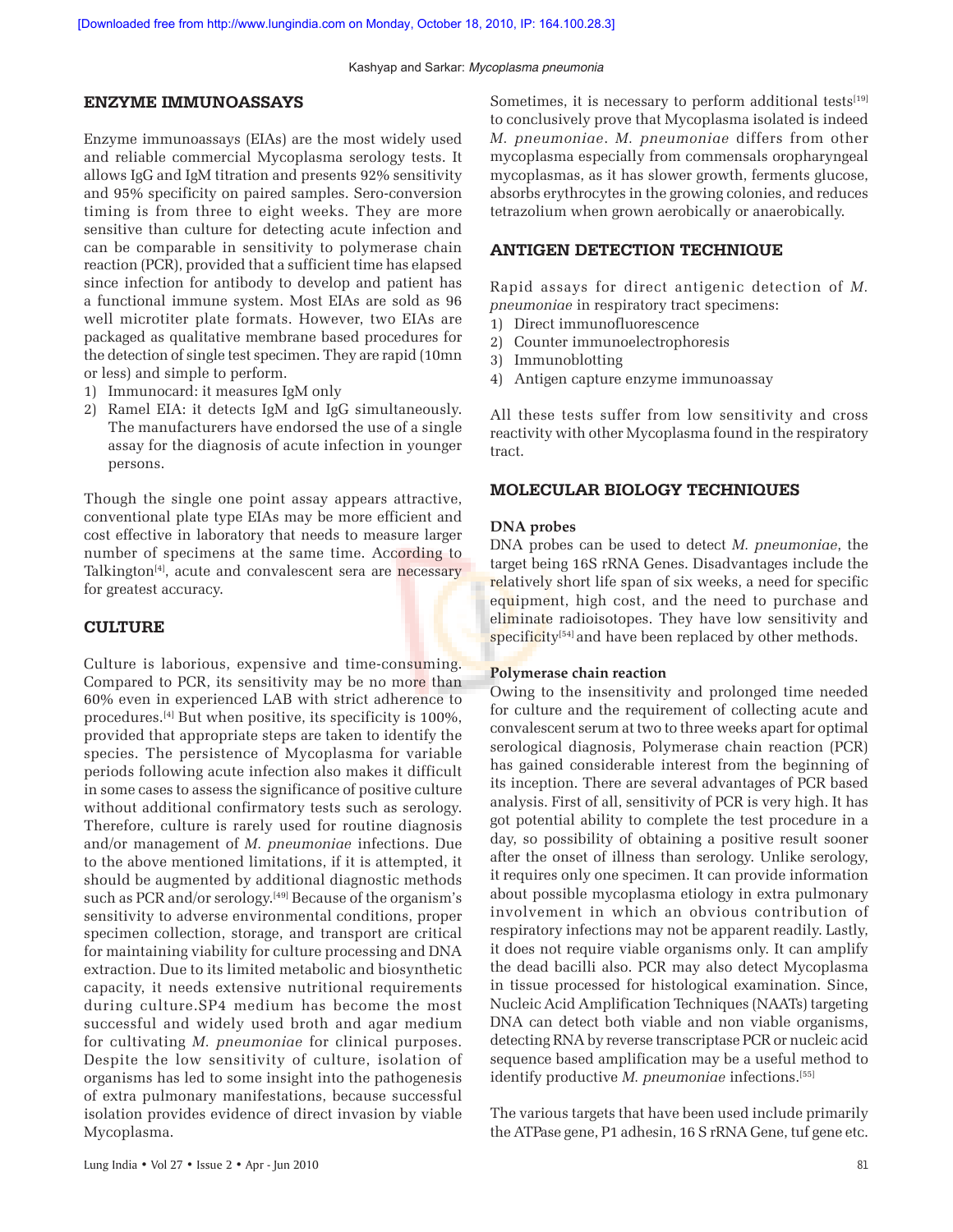## **ENZYME IMMUNOASSAYS**

Enzyme immunoassays (EIAs) are the most widely used and reliable commercial Mycoplasma serology tests. It allows IgG and IgM titration and presents 92% sensitivity and 95% specificity on paired samples. Sero-conversion timing is from three to eight weeks. They are more sensitive than culture for detecting acute infection and can be comparable in sensitivity to polymerase chain reaction (PCR), provided that a sufficient time has elapsed since infection for antibody to develop and patient has a functional immune system. Most EIAs are sold as 96 well microtiter plate formats. However, two EIAs are packaged as qualitative membrane based procedures for the detection of single test specimen. They are rapid (10mn or less) and simple to perform.

- 1) Immunocard: it measures IgM only
- 2) Ramel EIA: it detects IgM and IgG simultaneously. The manufacturers have endorsed the use of a single assay for the diagnosis of acute infection in younger persons.

Though the single one point assay appears attractive, conventional plate type EIAs may be more efficient and cost effective in laboratory that needs to measure larger number of specimens at the same time. According to Talkington<sup>[4]</sup>, acute and convalescent sera are necessary for greatest accuracy.

## **CULTURE**

Culture is laborious, expensive and time-consuming. Compared to PCR, its sensitivity may be no more than 60% even in experienced LAB with strict adherence to procedures.[4] But when positive, its specificity is 100%, provided that appropriate steps are taken to identify the species. The persistence of Mycoplasma for variable periods following acute infection also makes it difficult in some cases to assess the significance of positive culture without additional confirmatory tests such as serology. Therefore, culture is rarely used for routine diagnosis and/or management of *M. pneumoniae* infections. Due to the above mentioned limitations, if it is attempted, it should be augmented by additional diagnostic methods such as PCR and/or serology.<sup>[49]</sup> Because of the organism's sensitivity to adverse environmental conditions, proper specimen collection, storage, and transport are critical for maintaining viability for culture processing and DNA extraction. Due to its limited metabolic and biosynthetic capacity, it needs extensive nutritional requirements during culture.SP4 medium has become the most successful and widely used broth and agar medium for cultivating *M. pneumoniae* for clinical purposes. Despite the low sensitivity of culture, isolation of organisms has led to some insight into the pathogenesis of extra pulmonary manifestations, because successful isolation provides evidence of direct invasion by viable Mycoplasma.

Sometimes, it is necessary to perform additional tests<sup>[19]</sup> to conclusively prove that Mycoplasma isolated is indeed *M. pneumoniae*. *M. pneumoniae* differs from other mycoplasma especially from commensals oropharyngeal mycoplasmas, as it has slower growth, ferments glucose, absorbs erythrocytes in the growing colonies, and reduces tetrazolium when grown aerobically or anaerobically.

#### **ANTIGEN DETECTION TECHNIQUE**

Rapid assays for direct antigenic detection of *M. pneumoniae* in respiratory tract specimens:

- 1) Direct immunofluorescence
- 2) Counter immunoelectrophoresis
- 3) Immunoblotting
- 4) Antigen capture enzyme immunoassay

All these tests suffer from low sensitivity and cross reactivity with other Mycoplasma found in the respiratory tract.

#### **MOLECULAR BIOLOGY TECHNIQUES**

#### **DNA probes**

DNA probes can be used to detect *M. pneumoniae*, the target being 16S rRNA Genes. Disadvantages include the relatively short life span of six weeks, a need for specific equipment, high cost, and the need to purchase and eliminate radioisotopes. They have low sensitivity and specificity<sup>[54]</sup> and have been replaced by other methods.

#### **Polymerase chain reaction**

Owing to the insensitivity and prolonged time needed for culture and the requirement of collecting acute and convalescent serum at two to three weeks apart for optimal serological diagnosis, Polymerase chain reaction (PCR) has gained considerable interest from the beginning of its inception. There are several advantages of PCR based analysis. First of all, sensitivity of PCR is very high. It has got potential ability to complete the test procedure in a day, so possibility of obtaining a positive result sooner after the onset of illness than serology. Unlike serology, it requires only one specimen. It can provide information about possible mycoplasma etiology in extra pulmonary involvement in which an obvious contribution of respiratory infections may not be apparent readily. Lastly, it does not require viable organisms only. It can amplify the dead bacilli also. PCR may also detect Mycoplasma in tissue processed for histological examination. Since, Nucleic Acid Amplification Techniques (NAATs) targeting DNA can detect both viable and non viable organisms, detecting RNA by reverse transcriptase PCR or nucleic acid sequence based amplification may be a useful method to identify productive *M. pneumoniae* infections.[55]

The various targets that have been used include primarily the ATPase gene, P1 adhesin, 16 S rRNA Gene, tuf gene etc.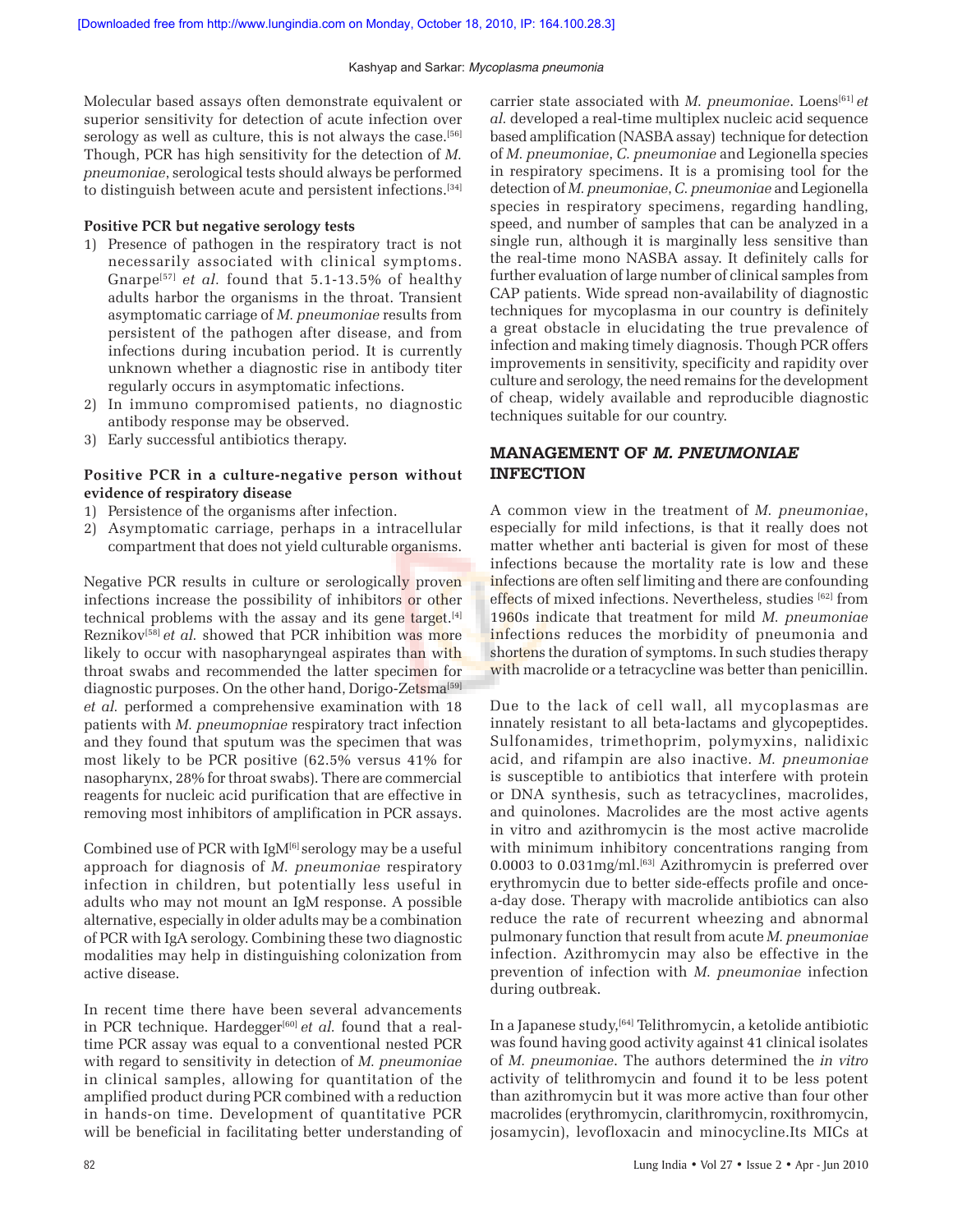Molecular based assays often demonstrate equivalent or superior sensitivity for detection of acute infection over serology as well as culture, this is not always the case.<sup>[56]</sup> Though, PCR has high sensitivity for the detection of *M. pneumoniae*, serological tests should always be performed to distinguish between acute and persistent infections.[34]

#### **Positive PCR but negative serology tests**

- 1) Presence of pathogen in the respiratory tract is not necessarily associated with clinical symptoms. Gnarpe[57] *et al.* found that 5.1-13.5% of healthy adults harbor the organisms in the throat. Transient asymptomatic carriage of *M. pneumoniae* results from persistent of the pathogen after disease, and from infections during incubation period. It is currently unknown whether a diagnostic rise in antibody titer regularly occurs in asymptomatic infections.
- 2) In immuno compromised patients, no diagnostic antibody response may be observed.
- 3) Early successful antibiotics therapy.

## **Positive PCR in a culture-negative person without evidence of respiratory disease**

- 1) Persistence of the organisms after infection.
- 2) Asymptomatic carriage, perhaps in a intracellular compartment that does not yield culturable organisms.

Negative PCR results in culture or serologically proven infections increase the possibility of inhibitors or other technical problems with the assay and its gene target.[4] Reznikov<sup>[58]</sup> *et al.* showed that PCR inhibition was more likely to occur with nasopharyngeal aspirates than with throat swabs and recommended the latter specimen for diagnostic purposes. On the other hand, Dorigo-Zetsma<sup>[59]</sup> *et al.* performed a comprehensive examination with 18 patients with *M. pneumopniae* respiratory tract infection and they found that sputum was the specimen that was most likely to be PCR positive (62.5% versus 41% for nasopharynx, 28% for throat swabs). There are commercial reagents for nucleic acid purification that are effective in removing most inhibitors of amplification in PCR assays.

Combined use of PCR with  $IgM^{[6]}$  serology may be a useful approach for diagnosis of *M. pneumoniae* respiratory infection in children, but potentially less useful in adults who may not mount an IgM response. A possible alternative, especially in older adults may be a combination of PCR with IgA serology. Combining these two diagnostic modalities may help in distinguishing colonization from active disease.

In recent time there have been several advancements in PCR technique. Hardegger<sup>[60]</sup> *et al.* found that a realtime PCR assay was equal to a conventional nested PCR with regard to sensitivity in detection of *M. pneumoniae* in clinical samples, allowing for quantitation of the amplified product during PCR combined with a reduction in hands-on time. Development of quantitative PCR will be beneficial in facilitating better understanding of carrier state associated with *M. pneumoniae*. Loens[61] *et al.* developed a real-time multiplex nucleic acid sequence based amplification (NASBA assay) technique for detection of *M. pneumoniae*, *C. pneumoniae* and Legionella species in respiratory specimens. It is a promising tool for the detection of *M. pneumoniae*, *C. pneumoniae* and Legionella species in respiratory specimens, regarding handling, speed, and number of samples that can be analyzed in a single run, although it is marginally less sensitive than the real-time mono NASBA assay. It definitely calls for further evaluation of large number of clinical samples from CAP patients. Wide spread non-availability of diagnostic techniques for mycoplasma in our country is definitely a great obstacle in elucidating the true prevalence of infection and making timely diagnosis. Though PCR offers improvements in sensitivity, specificity and rapidity over culture and serology, the need remains for the development of cheap, widely available and reproducible diagnostic techniques suitable for our country.

## **MANAGEMENT OF M. PNEUMONIAE INFECTION**

A common view in the treatment of *M. pneumoniae*, especially for mild infections, is that it really does not matter whether anti bacterial is given for most of these infections because the mortality rate is low and these infections are often self limiting and there are confounding effects of mixed infections. Nevertheless, studies [62] from 1960s indicate that treatment for mild *M. pneumoniae* infections reduces the morbidity of pneumonia and shortens the duration of symptoms. In such studies therapy with macrolide or a tetracycline was better than penicillin.

Due to the lack of cell wall, all mycoplasmas are innately resistant to all beta-lactams and glycopeptides. Sulfonamides, trimethoprim, polymyxins, nalidixic acid, and rifampin are also inactive. *M. pneumoniae* is susceptible to antibiotics that interfere with protein or DNA synthesis, such as tetracyclines, macrolides, and quinolones. Macrolides are the most active agents in vitro and azithromycin is the most active macrolide with minimum inhibitory concentrations ranging from 0.0003 to 0.031mg/ml.<sup>[63]</sup> Azithromycin is preferred over erythromycin due to better side-effects profile and oncea-day dose. Therapy with macrolide antibiotics can also reduce the rate of recurrent wheezing and abnormal pulmonary function that result from acute *M. pneumoniae* infection. Azithromycin may also be effective in the prevention of infection with *M. pneumoniae* infection during outbreak.

In a Japanese study,[64] Telithromycin, a ketolide antibiotic was found having good activity against 41 clinical isolates of *M. pneumoniae*. The authors determined the *in vitro* activity of telithromycin and found it to be less potent than azithromycin but it was more active than four other macrolides (erythromycin, clarithromycin, roxithromycin, josamycin), levofloxacin and minocycline.Its MICs at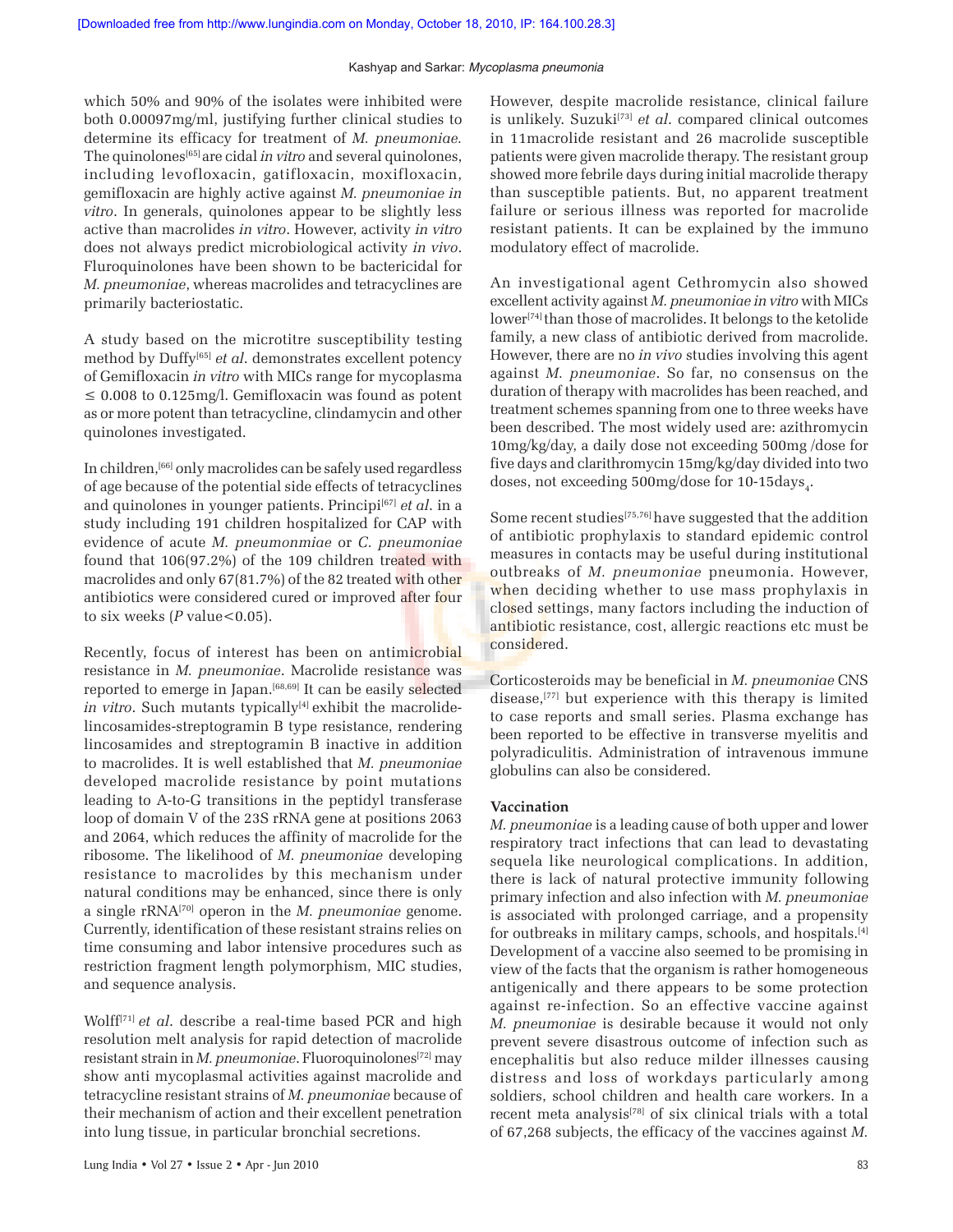which 50% and 90% of the isolates were inhibited were both 0.00097mg/ml, justifying further clinical studies to determine its efficacy for treatment of *M. pneumoniae.* The quinolones[65] are cidal *in vitro* and several quinolones, including levofloxacin, gatifloxacin, moxifloxacin, gemifloxacin are highly active against *M. pneumoniae in vitro*. In generals, quinolones appear to be slightly less active than macrolides *in vitro*. However, activity *in vitro* does not always predict microbiological activity *in vivo*. Fluroquinolones have been shown to be bactericidal for *M. pneumoniae*, whereas macrolides and tetracyclines are primarily bacteriostatic.

A study based on the microtitre susceptibility testing method by Duffy[65] *et al*. demonstrates excellent potency of Gemifloxacin *in vitro* with MICs range for mycoplasma  $\leq$  0.008 to 0.125mg/l. Gemifloxacin was found as potent as or more potent than tetracycline, clindamycin and other quinolones investigated.

In children,[66] only macrolides can be safely used regardless of age because of the potential side effects of tetracyclines and quinolones in younger patients. Principi<sup>[67]</sup> *et al.* in a study including 191 children hospitalized for CAP with evidence of acute *M. pneumonmiae* or *C. pneumoniae* found that 106(97.2%) of the 109 children treated with macrolides and only 67(81.7%) of the 82 treated with other antibiotics were considered cured or improved after four to six weeks  $(P$  value < 0.05).

Recently, focus of interest has been on antimicrobial resistance in *M. pneumoniae*. Macrolide resistance was reported to emerge in Japan.[68,69] It can be easily selected *in vitro*. Such mutants typically<sup>[4]</sup> exhibit the macrolidelincosamides-streptogramin B type resistance, rendering lincosamides and streptogramin B inactive in addition to macrolides. It is well established that *M. pneumoniae* developed macrolide resistance by point mutations leading to A-to-G transitions in the peptidyl transferase loop of domain V of the 23S rRNA gene at positions 2063 and 2064, which reduces the affinity of macrolide for the ribosome. The likelihood of *M. pneumoniae* developing resistance to macrolides by this mechanism under natural conditions may be enhanced, since there is only a single rRNA[70] operon in the *M. pneumoniae* genome. Currently, identification of these resistant strains relies on time consuming and labor intensive procedures such as restriction fragment length polymorphism, MIC studies, and sequence analysis.

Wolff<sup>[71]</sup> *et al.* describe a real-time based PCR and high resolution melt analysis for rapid detection of macrolide resistant strain in *M. pneumoniae*. Fluoroquinolones<sup>[72]</sup> may show anti mycoplasmal activities against macrolide and tetracycline resistant strains of *M. pneumoniae* because of their mechanism of action and their excellent penetration into lung tissue, in particular bronchial secretions.

However, despite macrolide resistance, clinical failure is unlikely. Suzuki<sup>[73]</sup> et al. compared clinical outcomes in 11macrolide resistant and 26 macrolide susceptible patients were given macrolide therapy. The resistant group showed more febrile days during initial macrolide therapy than susceptible patients. But, no apparent treatment failure or serious illness was reported for macrolide resistant patients. It can be explained by the immuno modulatory effect of macrolide.

An investigational agent Cethromycin also showed excellent activity against *M. pneumoniae in vitro* with MICs lower<sup>[74]</sup> than those of macrolides. It belongs to the ketolide family, a new class of antibiotic derived from macrolide. However, there are no *in vivo* studies involving this agent against *M. pneumoniae*. So far, no consensus on the duration of therapy with macrolides has been reached, and treatment schemes spanning from one to three weeks have been described. The most widely used are: azithromycin 10mg/kg/day, a daily dose not exceeding 500mg /dose for five days and clarithromycin 15mg/kg/day divided into two  $\rm{doses,~not~exceeding~500mg/dose~for~10\text{-}15 days}_{\rm 4}.$ 

Some recent studies<sup>[75,76]</sup> have suggested that the addition of antibiotic prophylaxis to standard epidemic control measures in contacts may be useful during institutional outbreaks of *M. pneumoniae* pneumonia. However, when deciding whether to use mass prophylaxis in closed settings, many factors including the induction of antibiotic resistance, cost, allergic reactions etc must be considered.

Corticosteroids may be beneficial in *M. pneumoniae* CNS disease,[77] but experience with this therapy is limited to case reports and small series. Plasma exchange has been reported to be effective in transverse myelitis and polyradiculitis. Administration of intravenous immune globulins can also be considered.

#### **Vaccination**

*M. pneumoniae* is a leading cause of both upper and lower respiratory tract infections that can lead to devastating sequela like neurological complications. In addition, there is lack of natural protective immunity following primary infection and also infection with *M. pneumoniae* is associated with prolonged carriage, and a propensity for outbreaks in military camps, schools, and hospitals.[4] Development of a vaccine also seemed to be promising in view of the facts that the organism is rather homogeneous antigenically and there appears to be some protection against re-infection. So an effective vaccine against *M. pneumoniae* is desirable because it would not only prevent severe disastrous outcome of infection such as encephalitis but also reduce milder illnesses causing distress and loss of workdays particularly among soldiers, school children and health care workers. In a recent meta analysis<sup>[78]</sup> of six clinical trials with a total of 67,268 subjects, the efficacy of the vaccines against *M.*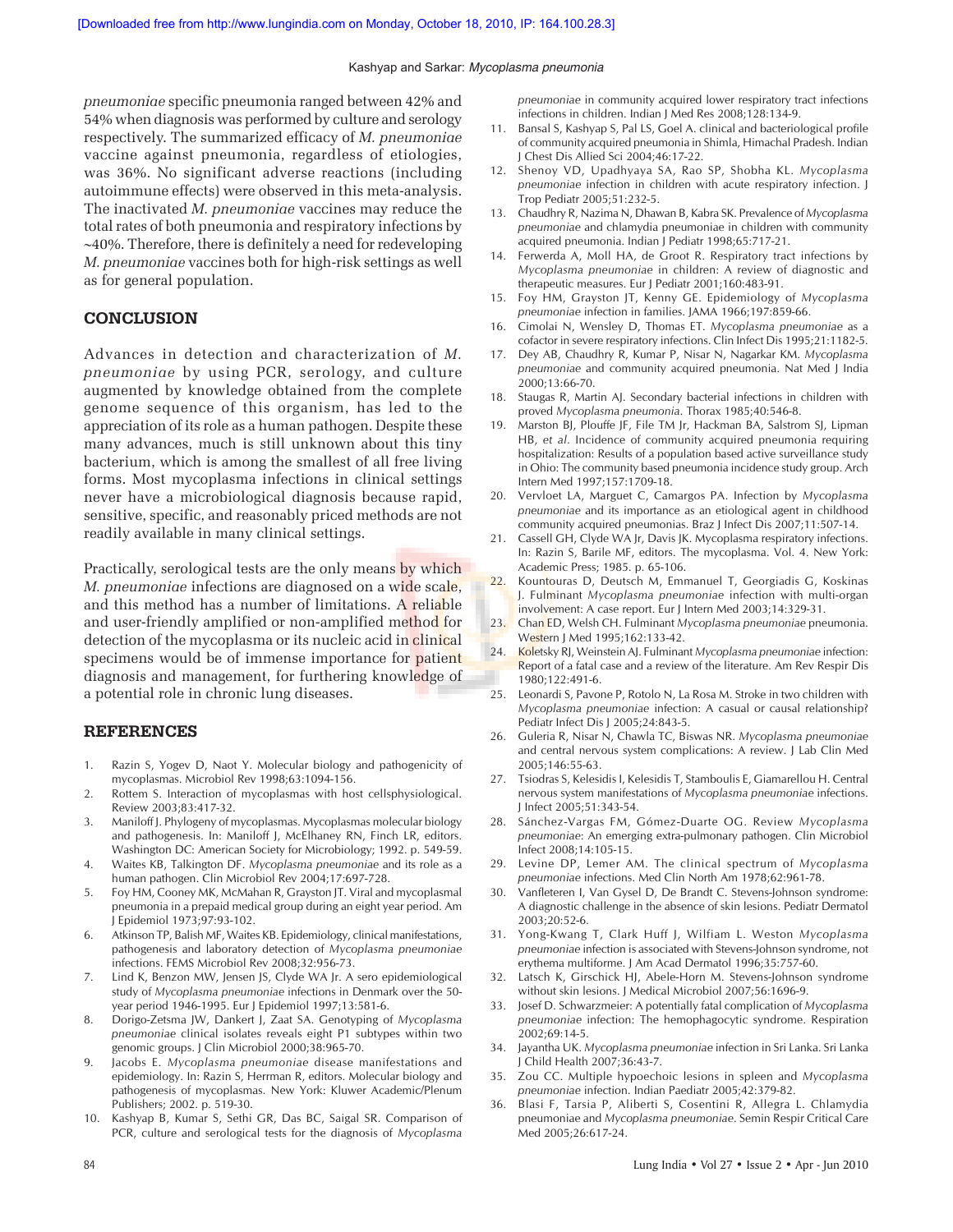*pneumoniae* specific pneumonia ranged between 42% and 54% when diagnosis was performed by culture and serology respectively. The summarized efficacy of *M. pneumoniae* vaccine against pneumonia, regardless of etiologies, was 36%. No significant adverse reactions (including autoimmune effects) were observed in this meta-analysis. The inactivated *M. pneumoniae* vaccines may reduce the total rates of both pneumonia and respiratory infections by ∼40%. Therefore, there is definitely a need for redeveloping *M. pneumoniae* vaccines both for high-risk settings as well as for general population.

## **CONCLUSION**

Advances in detection and characterization of *M. pneumoniae* by using PCR, serology, and culture augmented by knowledge obtained from the complete genome sequence of this organism, has led to the appreciation of its role as a human pathogen. Despite these many advances, much is still unknown about this tiny bacterium, which is among the smallest of all free living forms. Most mycoplasma infections in clinical settings never have a microbiological diagnosis because rapid, sensitive, specific, and reasonably priced methods are not readily available in many clinical settings.

Practically, serological tests are the only means by which *M. pneumoniae* infections are diagnosed on a wide scale, and this method has a number of limitations. A reliable and user-friendly amplified or non-amplified method for detection of the mycoplasma or its nucleic acid in clinical specimens would be of immense importance for patient diagnosis and management, for furthering knowledge of a potential role in chronic lung diseases.

#### **REFERENCES**

- 1. Razin S, Yogev D, Naot Y. Molecular biology and pathogenicity of mycoplasmas. Microbiol Rev 1998;63:1094-156.
- 2. Rottem S. Interaction of mycoplasmas with host cellsphysiological. Review 2003;83:417-32.
- 3. Maniloff J. Phylogeny of mycoplasmas. Mycoplasmas molecular biology and pathogenesis. In: Maniloff J, McElhaney RN, Finch LR, editors. Washington DC: American Society for Microbiology; 1992. p. 549-59.
- 4. Waites KB, Talkington DF. *Mycoplasma pneumoniae* and its role as a human pathogen. Clin Microbiol Rev 2004;17:697-728.
- 5. Foy HM, Cooney MK, McMahan R, Grayston JT. Viral and mycoplasmal pneumonia in a prepaid medical group during an eight year period. Am J Epidemiol 1973;97:93-102.
- 6. Atkinson TP, Balish MF, Waites KB. Epidemiology, clinical manifestations, pathogenesis and laboratory detection of *Mycoplasma pneumoniae* infections. FEMS Microbiol Rev 2008;32:956-73.
- 7. Lind K, Benzon MW, Jensen JS, Clyde WA Jr. A sero epidemiological study of *Mycoplasma pneumoniae* infections in Denmark over the 50 year period 1946-1995. Eur J Epidemiol 1997;13:581-6.
- 8. Dorigo-Zetsma JW, Dankert J, Zaat SA. Genotyping of *Mycoplasma pneumoniae* clinical isolates reveals eight P1 subtypes within two genomic groups. J Clin Microbiol 2000;38:965-70.
- 9. Jacobs E. *Mycoplasma pneumoniae* disease manifestations and epidemiology. In: Razin S, Herrman R, editors. Molecular biology and pathogenesis of mycoplasmas. New York: Kluwer Academic/Plenum Publishers; 2002. p. 519-30.
- 10. Kashyap B, Kumar S, Sethi GR, Das BC, Saigal SR. Comparison of PCR, culture and serological tests for the diagnosis of *Mycoplasma*

*pneumoniae* in community acquired lower respiratory tract infections infections in children. Indian J Med Res 2008;128:134-9.

- 11. Bansal S, Kashyap S, Pal LS, Goel A. clinical and bacteriological profile of community acquired pneumonia in Shimla, Himachal Pradesh. Indian J Chest Dis Allied Sci 2004;46:17-22.
- 12. Shenoy VD, Upadhyaya SA, Rao SP, Shobha KL. *Mycoplasma pneumoniae* infection in children with acute respiratory infection. J Trop Pediatr 2005;51:232-5.
- 13. Chaudhry R, Nazima N, Dhawan B, Kabra SK. Prevalence of *Mycoplasma pneumoniae* and chlamydia pneumoniae in children with community acquired pneumonia. Indian J Pediatr 1998;65:717-21.
- 14. Ferwerda A, Moll HA, de Groot R. Respiratory tract infections by *Mycoplasma pneumoniae* in children: A review of diagnostic and therapeutic measures. Eur J Pediatr 2001;160:483-91.
- 15. Foy HM, Grayston JT, Kenny GE. Epidemiology of *Mycoplasma pneumoniae* infection in families. JAMA 1966;197:859-66.
- 16. Cimolai N, Wensley D, Thomas ET. *Mycoplasma pneumoniae* as a cofactor in severe respiratory infections. Clin Infect Dis 1995;21:1182-5.
- 17. Dey AB, Chaudhry R, Kumar P, Nisar N, Nagarkar KM. *Mycoplasma pneumoniae* and community acquired pneumonia. Nat Med J India 2000;13:66-70.
- 18. Staugas R, Martin AJ. Secondary bacterial infections in children with proved *Mycoplasma pneumonia*. Thorax 1985;40:546-8.
- 19. Marston BJ, Plouffe JF, File TM Jr, Hackman BA, Salstrom SJ, Lipman HB, *et al*. Incidence of community acquired pneumonia requiring hospitalization: Results of a population based active surveillance study in Ohio: The community based pneumonia incidence study group. Arch Intern Med 1997;157:1709-18.
- 20. Vervloet LA, Marguet C, Camargos PA. Infection by *Mycoplasma pneumoniae* and its importance as an etiological agent in childhood community acquired pneumonias. Braz J Infect Dis 2007;11:507-14.
- 21. Cassell GH, Clyde WA Jr, Davis JK. Mycoplasma respiratory infections. In: Razin S, Barile MF, editors. The mycoplasma. Vol. 4. New York: Academic Press; 1985. p. 65-106.
- 22. Kountouras D, Deutsch M, Emmanuel T, Georgiadis G, Koskinas J. Fulminant *Mycoplasma pneumoniae* infection with multi-organ involvement: A case report. Eur J Intern Med 2003;14:329-31.
- 23. Chan ED, Welsh CH. Fulminant *Mycoplasma pneumoniae* pneumonia. Western J Med 1995;162:133-42.
- 24. Koletsky RJ, Weinstein AJ. Fulminant *Mycoplasma pneumoniae* infection: Report of a fatal case and a review of the literature. Am Rev Respir Dis 1980;122:491-6.
- 25. Leonardi S, Pavone P, Rotolo N, La Rosa M. Stroke in two children with *Mycoplasma pneumoniae* infection: A casual or causal relationship? Pediatr Infect Dis J 2005;24:843-5.
- 26. Guleria R, Nisar N, Chawla TC, Biswas NR. *Mycoplasma pneumoniae* and central nervous system complications: A review. J Lab Clin Med 2005;146:55-63.
- 27. Tsiodras S, Kelesidis I, Kelesidis T, Stamboulis E, Giamarellou H. Central nervous system manifestations of *Mycoplasma pneumoniae* infections. J Infect 2005;51:343-54.
- 28. Sánchez-Vargas FM, Gómez-Duarte OG. Review *Mycoplasma pneumoniae*: An emerging extra-pulmonary pathogen. Clin Microbiol Infect 2008;14:105-15.
- 29. Levine DP, Lemer AM. The clinical spectrum of *Mycoplasma pneumoniae* infections. Med Clin North Am 1978;62:961-78.
- 30. Vanfleteren I, Van Gysel D, De Brandt C. Stevens-Johnson syndrome: A diagnostic challenge in the absence of skin lesions. Pediatr Dermatol 2003;20:52-6.
- 31. Yong-Kwang T, Clark Huff J, Wilfiam L. Weston *Mycoplasma pneumoniae* infection is associated with Stevens-Johnson syndrome, not erythema multiforme. J Am Acad Dermatol 1996;35:757-60.
- 32. Latsch K, Girschick HJ, Abele-Horn M. Stevens-Johnson syndrome without skin lesions. J Medical Microbiol 2007;56:1696-9.
- 33. Josef D. Schwarzmeier: A potentially fatal complication of *Mycoplasma pneumoniae* infection: The hemophagocytic syndrome. Respiration 2002;69:14-5.
- 34. Jayantha UK. *Mycoplasma pneumoniae* infection in Sri Lanka. Sri Lanka J Child Health 2007;36:43-7.
- 35. Zou CC. Multiple hypoechoic lesions in spleen and *Mycoplasma pneumoniae* infection. Indian Paediatr 2005;42:379-82.
- Blasi F, Tarsia P, Aliberti S, Cosentini R, Allegra L. Chlamydia pneumoniae and *Mycoplasma pneumoniae*. Semin Respir Critical Care Med 2005;26:617-24.